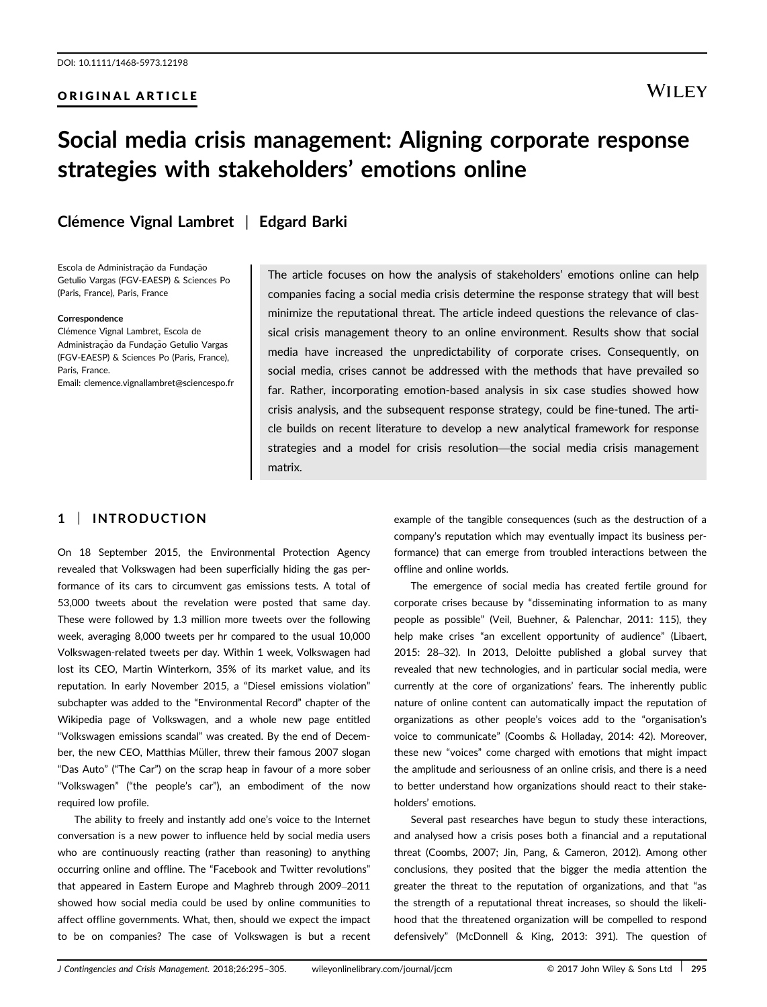#### ORIGINAL ARTICLE

## **WILEY**

# Social media crisis management: Aligning corporate response strategies with stakeholders' emotions online

Clémence Vignal Lambret | Edgard Barki

Escola de Administração da Fundação Getulio Vargas (FGV-EAESP) & Sciences Po (Paris, France), Paris, France

#### Correspondence

Clémence Vignal Lambret, Escola de Administração da Fundação Getulio Vargas (FGV-EAESP) & Sciences Po (Paris, France), Paris, France. Email: clemence.vignallambret@sciencespo.fr

The article focuses on how the analysis of stakeholders' emotions online can help companies facing a social media crisis determine the response strategy that will best minimize the reputational threat. The article indeed questions the relevance of classical crisis management theory to an online environment. Results show that social media have increased the unpredictability of corporate crises. Consequently, on social media, crises cannot be addressed with the methods that have prevailed so far. Rather, incorporating emotion-based analysis in six case studies showed how crisis analysis, and the subsequent response strategy, could be fine-tuned. The article builds on recent literature to develop a new analytical framework for response strategies and a model for crisis resolution—the social media crisis management matrix.

### 1 | INTRODUCTION

On 18 September 2015, the Environmental Protection Agency revealed that Volkswagen had been superficially hiding the gas performance of its cars to circumvent gas emissions tests. A total of 53,000 tweets about the revelation were posted that same day. These were followed by 1.3 million more tweets over the following week, averaging 8,000 tweets per hr compared to the usual 10,000 Volkswagen-related tweets per day. Within 1 week, Volkswagen had lost its CEO, Martin Winterkorn, 35% of its market value, and its reputation. In early November 2015, a "Diesel emissions violation" subchapter was added to the "Environmental Record" chapter of the Wikipedia page of Volkswagen, and a whole new page entitled "Volkswagen emissions scandal" was created. By the end of December, the new CEO, Matthias Müller, threw their famous 2007 slogan "Das Auto" ("The Car") on the scrap heap in favour of a more sober "Volkswagen" ("the people's car"), an embodiment of the now required low profile.

The ability to freely and instantly add one's voice to the Internet conversation is a new power to influence held by social media users who are continuously reacting (rather than reasoning) to anything occurring online and offline. The "Facebook and Twitter revolutions" that appeared in Eastern Europe and Maghreb through 2009–2011 showed how social media could be used by online communities to affect offline governments. What, then, should we expect the impact to be on companies? The case of Volkswagen is but a recent

example of the tangible consequences (such as the destruction of a company's reputation which may eventually impact its business performance) that can emerge from troubled interactions between the offline and online worlds.

The emergence of social media has created fertile ground for corporate crises because by "disseminating information to as many people as possible" (Veil, Buehner, & Palenchar, 2011: 115), they help make crises "an excellent opportunity of audience" (Libaert, 2015: 28–32). In 2013, Deloitte published a global survey that revealed that new technologies, and in particular social media, were currently at the core of organizations' fears. The inherently public nature of online content can automatically impact the reputation of organizations as other people's voices add to the "organisation's voice to communicate" (Coombs & Holladay, 2014: 42). Moreover, these new "voices" come charged with emotions that might impact the amplitude and seriousness of an online crisis, and there is a need to better understand how organizations should react to their stakeholders' emotions.

Several past researches have begun to study these interactions, and analysed how a crisis poses both a financial and a reputational threat (Coombs, 2007; Jin, Pang, & Cameron, 2012). Among other conclusions, they posited that the bigger the media attention the greater the threat to the reputation of organizations, and that "as the strength of a reputational threat increases, so should the likelihood that the threatened organization will be compelled to respond defensively" (McDonnell & King, 2013: 391). The question of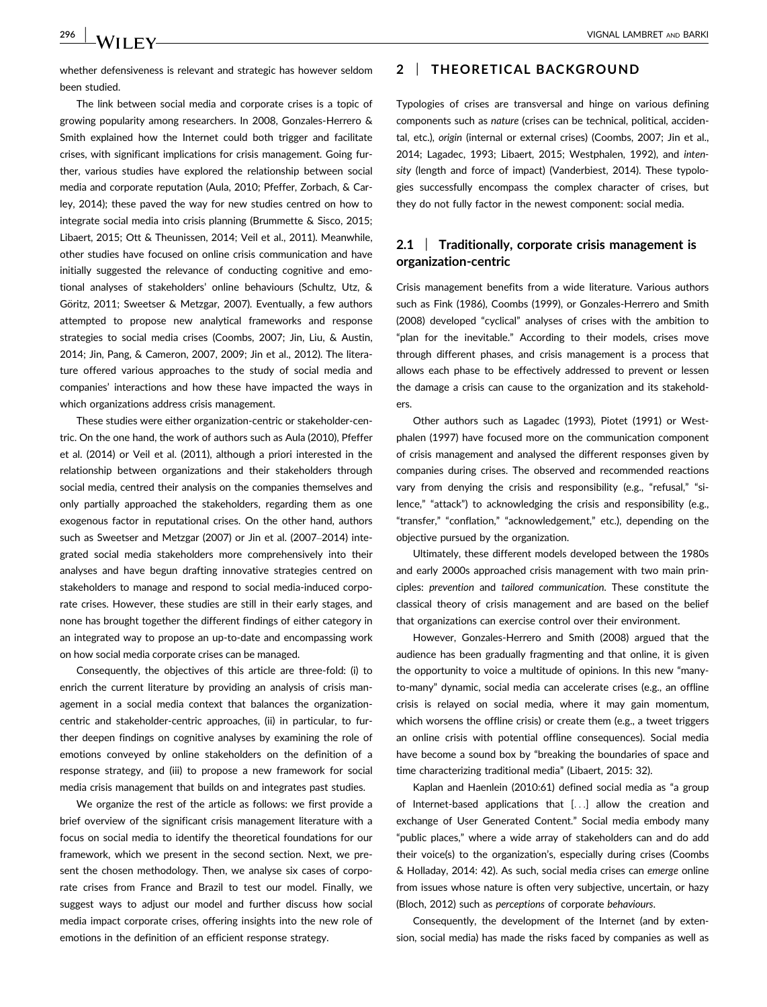whether defensiveness is relevant and strategic has however seldom been studied.

The link between social media and corporate crises is a topic of growing popularity among researchers. In 2008, Gonzales-Herrero & Smith explained how the Internet could both trigger and facilitate crises, with significant implications for crisis management. Going further, various studies have explored the relationship between social media and corporate reputation (Aula, 2010; Pfeffer, Zorbach, & Carley, 2014); these paved the way for new studies centred on how to integrate social media into crisis planning (Brummette & Sisco, 2015; Libaert, 2015; Ott & Theunissen, 2014; Veil et al., 2011). Meanwhile, other studies have focused on online crisis communication and have initially suggested the relevance of conducting cognitive and emotional analyses of stakeholders' online behaviours (Schultz, Utz, & Göritz, 2011; Sweetser & Metzgar, 2007). Eventually, a few authors attempted to propose new analytical frameworks and response strategies to social media crises (Coombs, 2007; Jin, Liu, & Austin, 2014; Jin, Pang, & Cameron, 2007, 2009; Jin et al., 2012). The literature offered various approaches to the study of social media and companies' interactions and how these have impacted the ways in which organizations address crisis management.

These studies were either organization-centric or stakeholder-centric. On the one hand, the work of authors such as Aula (2010), Pfeffer et al. (2014) or Veil et al. (2011), although a priori interested in the relationship between organizations and their stakeholders through social media, centred their analysis on the companies themselves and only partially approached the stakeholders, regarding them as one exogenous factor in reputational crises. On the other hand, authors such as Sweetser and Metzgar (2007) or Jin et al. (2007–2014) integrated social media stakeholders more comprehensively into their analyses and have begun drafting innovative strategies centred on stakeholders to manage and respond to social media-induced corporate crises. However, these studies are still in their early stages, and none has brought together the different findings of either category in an integrated way to propose an up-to-date and encompassing work on how social media corporate crises can be managed.

Consequently, the objectives of this article are three-fold: (i) to enrich the current literature by providing an analysis of crisis management in a social media context that balances the organizationcentric and stakeholder-centric approaches, (ii) in particular, to further deepen findings on cognitive analyses by examining the role of emotions conveyed by online stakeholders on the definition of a response strategy, and (iii) to propose a new framework for social media crisis management that builds on and integrates past studies.

We organize the rest of the article as follows: we first provide a brief overview of the significant crisis management literature with a focus on social media to identify the theoretical foundations for our framework, which we present in the second section. Next, we present the chosen methodology. Then, we analyse six cases of corporate crises from France and Brazil to test our model. Finally, we suggest ways to adjust our model and further discuss how social media impact corporate crises, offering insights into the new role of emotions in the definition of an efficient response strategy.

#### 2 | THEORETICAL BACKGROUND

Typologies of crises are transversal and hinge on various defining components such as nature (crises can be technical, political, accidental, etc.), origin (internal or external crises) (Coombs, 2007; Jin et al., 2014; Lagadec, 1993; Libaert, 2015; Westphalen, 1992), and intensity (length and force of impact) (Vanderbiest, 2014). These typologies successfully encompass the complex character of crises, but they do not fully factor in the newest component: social media.

#### 2.1 Traditionally, corporate crisis management is organization-centric

Crisis management benefits from a wide literature. Various authors such as Fink (1986), Coombs (1999), or Gonzales-Herrero and Smith (2008) developed "cyclical" analyses of crises with the ambition to "plan for the inevitable." According to their models, crises move through different phases, and crisis management is a process that allows each phase to be effectively addressed to prevent or lessen the damage a crisis can cause to the organization and its stakeholders.

Other authors such as Lagadec (1993), Piotet (1991) or Westphalen (1997) have focused more on the communication component of crisis management and analysed the different responses given by companies during crises. The observed and recommended reactions vary from denying the crisis and responsibility (e.g., "refusal," "silence," "attack") to acknowledging the crisis and responsibility (e.g., "transfer," "conflation," "acknowledgement," etc.), depending on the objective pursued by the organization.

Ultimately, these different models developed between the 1980s and early 2000s approached crisis management with two main principles: prevention and tailored communication. These constitute the classical theory of crisis management and are based on the belief that organizations can exercise control over their environment.

However, Gonzales-Herrero and Smith (2008) argued that the audience has been gradually fragmenting and that online, it is given the opportunity to voice a multitude of opinions. In this new "manyto-many" dynamic, social media can accelerate crises (e.g., an offline crisis is relayed on social media, where it may gain momentum, which worsens the offline crisis) or create them (e.g., a tweet triggers an online crisis with potential offline consequences). Social media have become a sound box by "breaking the boundaries of space and time characterizing traditional media" (Libaert, 2015: 32).

Kaplan and Haenlein (2010:61) defined social media as "a group of Internet-based applications that [...] allow the creation and exchange of User Generated Content." Social media embody many "public places," where a wide array of stakeholders can and do add their voice(s) to the organization's, especially during crises (Coombs & Holladay, 2014: 42). As such, social media crises can emerge online from issues whose nature is often very subjective, uncertain, or hazy (Bloch, 2012) such as perceptions of corporate behaviours.

Consequently, the development of the Internet (and by extension, social media) has made the risks faced by companies as well as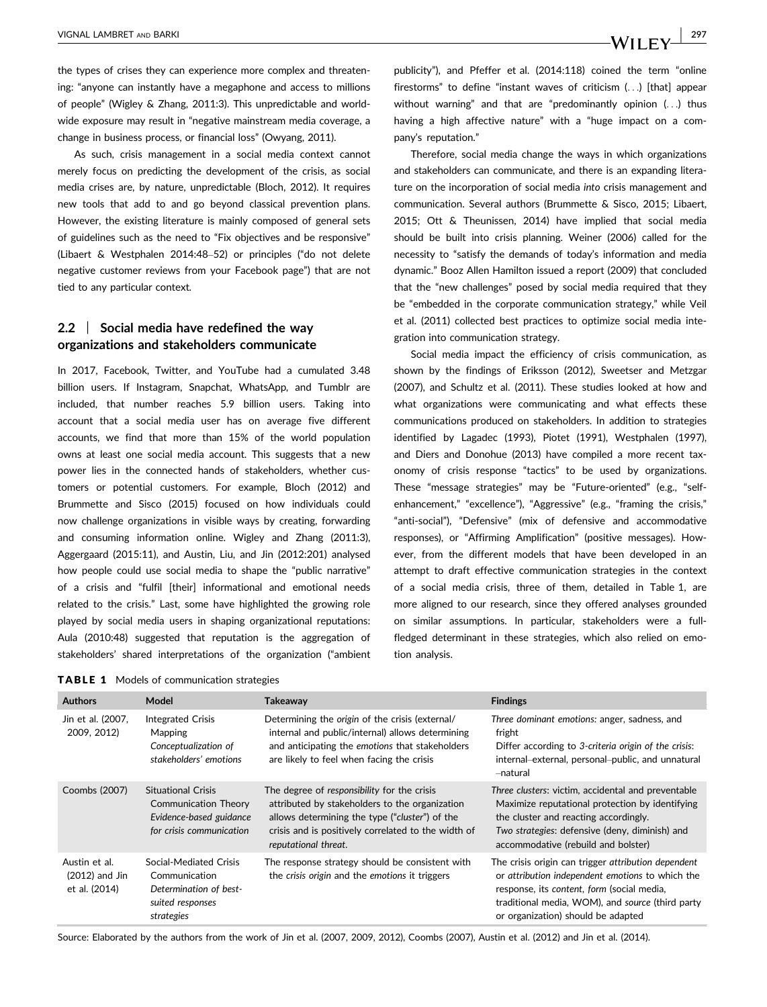the types of crises they can experience more complex and threatening: "anyone can instantly have a megaphone and access to millions of people" (Wigley & Zhang, 2011:3). This unpredictable and worldwide exposure may result in "negative mainstream media coverage, a change in business process, or financial loss" (Owyang, 2011).

As such, crisis management in a social media context cannot merely focus on predicting the development of the crisis, as social media crises are, by nature, unpredictable (Bloch, 2012). It requires new tools that add to and go beyond classical prevention plans. However, the existing literature is mainly composed of general sets of guidelines such as the need to "Fix objectives and be responsive" (Libaert & Westphalen 2014:48–52) or principles ("do not delete negative customer reviews from your Facebook page") that are not tied to any particular context.

#### 2.2 | Social media have redefined the way organizations and stakeholders communicate

In 2017, Facebook, Twitter, and YouTube had a cumulated 3.48 billion users. If Instagram, Snapchat, WhatsApp, and Tumblr are included, that number reaches 5.9 billion users. Taking into account that a social media user has on average five different accounts, we find that more than 15% of the world population owns at least one social media account. This suggests that a new power lies in the connected hands of stakeholders, whether customers or potential customers. For example, Bloch (2012) and Brummette and Sisco (2015) focused on how individuals could now challenge organizations in visible ways by creating, forwarding and consuming information online. Wigley and Zhang (2011:3), Aggergaard (2015:11), and Austin, Liu, and Jin (2012:201) analysed how people could use social media to shape the "public narrative" of a crisis and "fulfil [their] informational and emotional needs related to the crisis." Last, some have highlighted the growing role played by social media users in shaping organizational reputations: Aula (2010:48) suggested that reputation is the aggregation of stakeholders' shared interpretations of the organization ("ambient publicity"), and Pfeffer et al. (2014:118) coined the term "online firestorms" to define "instant waves of criticism (...) [that] appear without warning" and that are "predominantly opinion (...) thus having a high affective nature" with a "huge impact on a company's reputation."

Therefore, social media change the ways in which organizations and stakeholders can communicate, and there is an expanding literature on the incorporation of social media into crisis management and communication. Several authors (Brummette & Sisco, 2015; Libaert, 2015; Ott & Theunissen, 2014) have implied that social media should be built into crisis planning. Weiner (2006) called for the necessity to "satisfy the demands of today's information and media dynamic." Booz Allen Hamilton issued a report (2009) that concluded that the "new challenges" posed by social media required that they be "embedded in the corporate communication strategy," while Veil et al. (2011) collected best practices to optimize social media integration into communication strategy.

Social media impact the efficiency of crisis communication, as shown by the findings of Eriksson (2012), Sweetser and Metzgar (2007), and Schultz et al. (2011). These studies looked at how and what organizations were communicating and what effects these communications produced on stakeholders. In addition to strategies identified by Lagadec (1993), Piotet (1991), Westphalen (1997), and Diers and Donohue (2013) have compiled a more recent taxonomy of crisis response "tactics" to be used by organizations. These "message strategies" may be "Future-oriented" (e.g., "selfenhancement," "excellence"), "Aggressive" (e.g., "framing the crisis," "anti-social"), "Defensive" (mix of defensive and accommodative responses), or "Affirming Amplification" (positive messages). However, from the different models that have been developed in an attempt to draft effective communication strategies in the context of a social media crisis, three of them, detailed in Table 1, are more aligned to our research, since they offered analyses grounded on similar assumptions. In particular, stakeholders were a fullfledged determinant in these strategies, which also relied on emotion analysis.

|  |  |  |  |  | <b>TABLE 1</b> Models of communication strategies |  |
|--|--|--|--|--|---------------------------------------------------|--|
|--|--|--|--|--|---------------------------------------------------|--|

| <b>Authors</b>                                     | Model                                                                                                    | <b>Takeaway</b>                                                                                                                                                                                                                | <b>Findings</b>                                                                                                                                                                                                                                 |
|----------------------------------------------------|----------------------------------------------------------------------------------------------------------|--------------------------------------------------------------------------------------------------------------------------------------------------------------------------------------------------------------------------------|-------------------------------------------------------------------------------------------------------------------------------------------------------------------------------------------------------------------------------------------------|
| Jin et al. (2007,<br>2009, 2012)                   | <b>Integrated Crisis</b><br><b>Mapping</b><br>Conceptualization of<br>stakeholders' emotions             | Determining the origin of the crisis (external/<br>internal and public/internal) allows determining<br>and anticipating the emotions that stakeholders<br>are likely to feel when facing the crisis                            | Three dominant emotions: anger, sadness, and<br>fright<br>Differ according to 3-criteria origin of the crisis:<br>internal-external, personal-public, and unnatural<br>-natural                                                                 |
| Coombs (2007)                                      | <b>Situational Crisis</b><br>Communication Theory<br>Evidence-based guidance<br>for crisis communication | The degree of responsibility for the crisis<br>attributed by stakeholders to the organization<br>allows determining the type ("cluster") of the<br>crisis and is positively correlated to the width of<br>reputational threat. | Three clusters: victim, accidental and preventable<br>Maximize reputational protection by identifying<br>the cluster and reacting accordingly.<br>Two strategies: defensive (deny, diminish) and<br>accommodative (rebuild and bolster)         |
| Austin et al.<br>$(2012)$ and Jin<br>et al. (2014) | Social-Mediated Crisis<br>Communication<br>Determination of best-<br>suited responses<br>strategies      | The response strategy should be consistent with<br>the crisis origin and the emotions it triggers                                                                                                                              | The crisis origin can trigger attribution dependent<br>or attribution independent emotions to which the<br>response, its content, form (social media,<br>traditional media, WOM), and source (third party<br>or organization) should be adapted |

Source: Elaborated by the authors from the work of Jin et al. (2007, 2009, 2012), Coombs (2007), Austin et al. (2012) and Jin et al. (2014).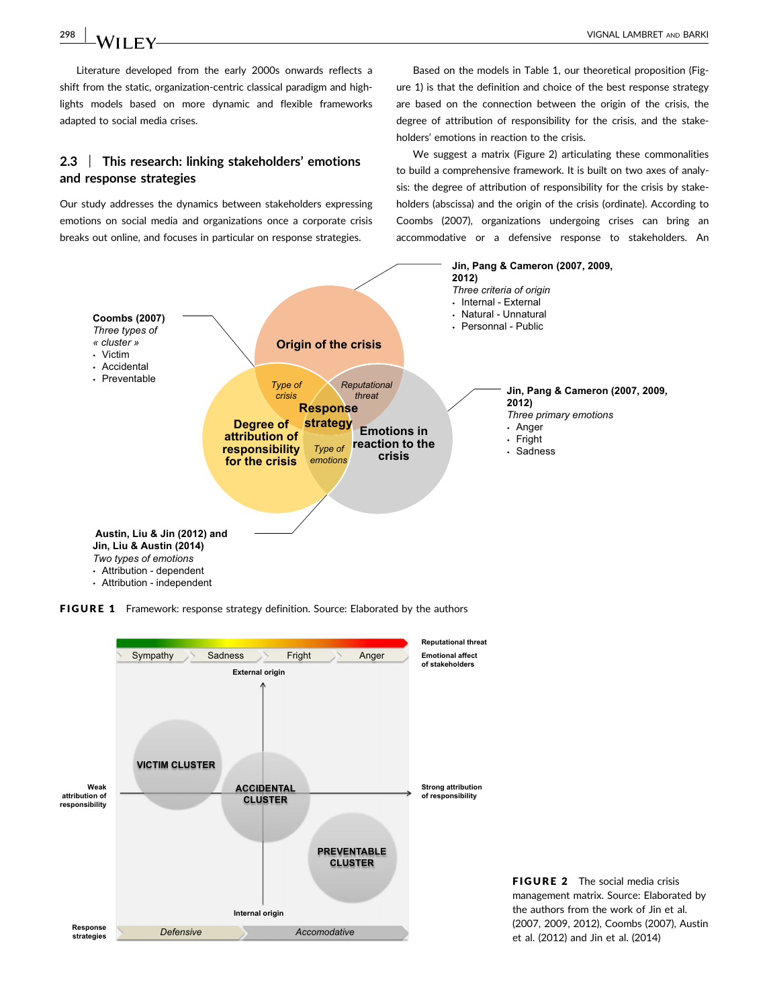Literature developed from the early 2000s onwards reflects a shift from the static, organization-centric classical paradigm and highlights models based on more dynamic and flexible frameworks adapted to social media crises.

#### 2.3 | This research: linking stakeholders' emotions and response strategies

Our study addresses the dynamics between stakeholders expressing emotions on social media and organizations once a corporate crisis breaks out online, and focuses in particular on response strategies.

Based on the models in Table 1, our theoretical proposition (Figure 1) is that the definition and choice of the best response strategy are based on the connection between the origin of the crisis, the degree of attribution of responsibility for the crisis, and the stakeholders' emotions in reaction to the crisis.

We suggest a matrix (Figure 2) articulating these commonalities to build a comprehensive framework. It is built on two axes of analysis: the degree of attribution of responsibility for the crisis by stakeholders (abscissa) and the origin of the crisis (ordinate). According to Coombs (2007), organizations undergoing crises can bring an accommodative or a defensive response to stakeholders. An



FIGURE 1 Framework: response strategy definition. Source: Elaborated by the authors



**FIGURE 2** The social media crisis management matrix. Source: Elaborated by the authors from the work of Jin et al. (2007, 2009, 2012), Coombs (2007), Austin et al. (2012) and Jin et al. (2014)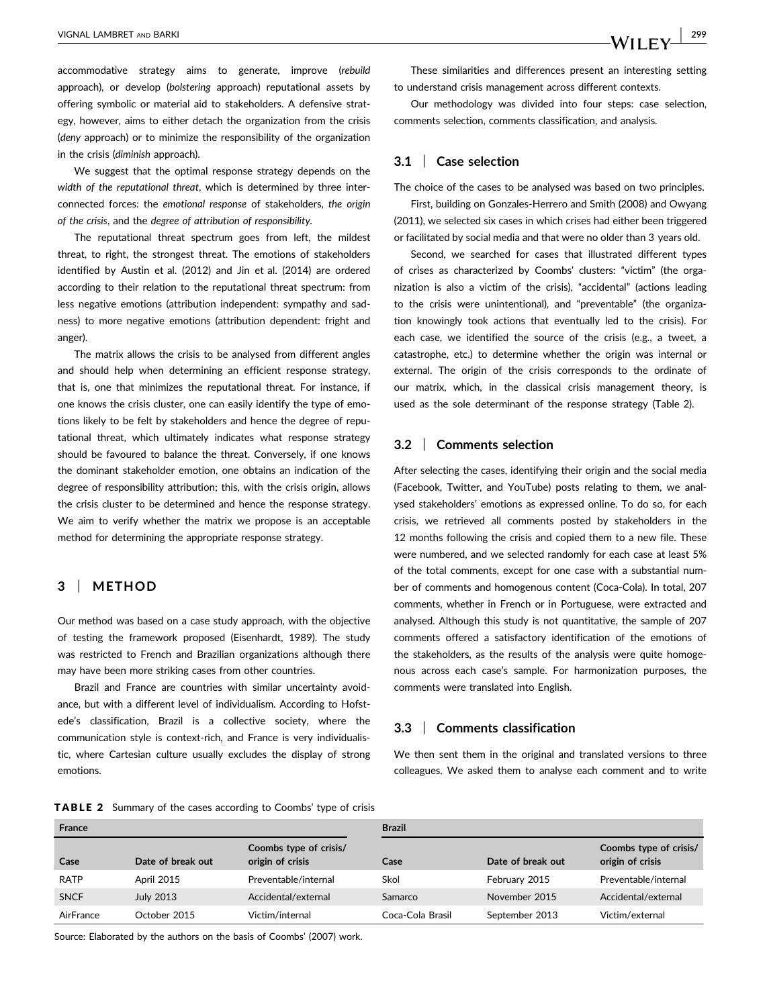accommodative strategy aims to generate, improve (rebuild approach), or develop (bolstering approach) reputational assets by offering symbolic or material aid to stakeholders. A defensive strategy, however, aims to either detach the organization from the crisis (deny approach) or to minimize the responsibility of the organization in the crisis (diminish approach).

We suggest that the optimal response strategy depends on the width of the reputational threat, which is determined by three interconnected forces: the emotional response of stakeholders, the origin of the crisis, and the degree of attribution of responsibility.

The reputational threat spectrum goes from left, the mildest threat, to right, the strongest threat. The emotions of stakeholders identified by Austin et al. (2012) and Jin et al. (2014) are ordered according to their relation to the reputational threat spectrum: from less negative emotions (attribution independent: sympathy and sadness) to more negative emotions (attribution dependent: fright and anger).

The matrix allows the crisis to be analysed from different angles and should help when determining an efficient response strategy, that is, one that minimizes the reputational threat. For instance, if one knows the crisis cluster, one can easily identify the type of emotions likely to be felt by stakeholders and hence the degree of reputational threat, which ultimately indicates what response strategy should be favoured to balance the threat. Conversely, if one knows the dominant stakeholder emotion, one obtains an indication of the degree of responsibility attribution; this, with the crisis origin, allows the crisis cluster to be determined and hence the response strategy. We aim to verify whether the matrix we propose is an acceptable method for determining the appropriate response strategy.

#### 3 | METHOD

Our method was based on a case study approach, with the objective of testing the framework proposed (Eisenhardt, 1989). The study was restricted to French and Brazilian organizations although there may have been more striking cases from other countries.

Brazil and France are countries with similar uncertainty avoidance, but with a different level of individualism. According to Hofstede's classification, Brazil is a collective society, where the communication style is context-rich, and France is very individualistic, where Cartesian culture usually excludes the display of strong emotions.

These similarities and differences present an interesting setting to understand crisis management across different contexts.

Our methodology was divided into four steps: case selection, comments selection, comments classification, and analysis.

#### 3.1 | Case selection

The choice of the cases to be analysed was based on two principles.

First, building on Gonzales-Herrero and Smith (2008) and Owyang (2011), we selected six cases in which crises had either been triggered or facilitated by social media and that were no older than 3 years old.

Second, we searched for cases that illustrated different types of crises as characterized by Coombs' clusters: "victim" (the organization is also a victim of the crisis), "accidental" (actions leading to the crisis were unintentional), and "preventable" (the organization knowingly took actions that eventually led to the crisis). For each case, we identified the source of the crisis (e.g., a tweet, a catastrophe, etc.) to determine whether the origin was internal or external. The origin of the crisis corresponds to the ordinate of our matrix, which, in the classical crisis management theory, is used as the sole determinant of the response strategy (Table 2).

#### 3.2 | Comments selection

After selecting the cases, identifying their origin and the social media (Facebook, Twitter, and YouTube) posts relating to them, we analysed stakeholders' emotions as expressed online. To do so, for each crisis, we retrieved all comments posted by stakeholders in the 12 months following the crisis and copied them to a new file. These were numbered, and we selected randomly for each case at least 5% of the total comments, except for one case with a substantial number of comments and homogenous content (Coca-Cola). In total, 207 comments, whether in French or in Portuguese, were extracted and analysed. Although this study is not quantitative, the sample of 207 comments offered a satisfactory identification of the emotions of the stakeholders, as the results of the analysis were quite homogenous across each case's sample. For harmonization purposes, the comments were translated into English.

#### 3.3 | Comments classification

We then sent them in the original and translated versions to three colleagues. We asked them to analyse each comment and to write

| <b>TABLE 2</b> Summary of the cases according to Coombs' type of crisis |  |  |  |
|-------------------------------------------------------------------------|--|--|--|
|-------------------------------------------------------------------------|--|--|--|

| <b>France</b> |                   |                                            | <b>Brazil</b>    |                   |                                            |  |
|---------------|-------------------|--------------------------------------------|------------------|-------------------|--------------------------------------------|--|
| Case          | Date of break out | Coombs type of crisis/<br>origin of crisis | Case             | Date of break out | Coombs type of crisis/<br>origin of crisis |  |
| <b>RATP</b>   | <b>April 2015</b> | Preventable/internal                       | Skol             | February 2015     | Preventable/internal                       |  |
| <b>SNCF</b>   | <b>July 2013</b>  | Accidental/external                        | Samarco          | November 2015     | Accidental/external                        |  |
| AirFrance     | October 2015      | Victim/internal                            | Coca-Cola Brasil | September 2013    | Victim/external                            |  |

Source: Elaborated by the authors on the basis of Coombs' (2007) work.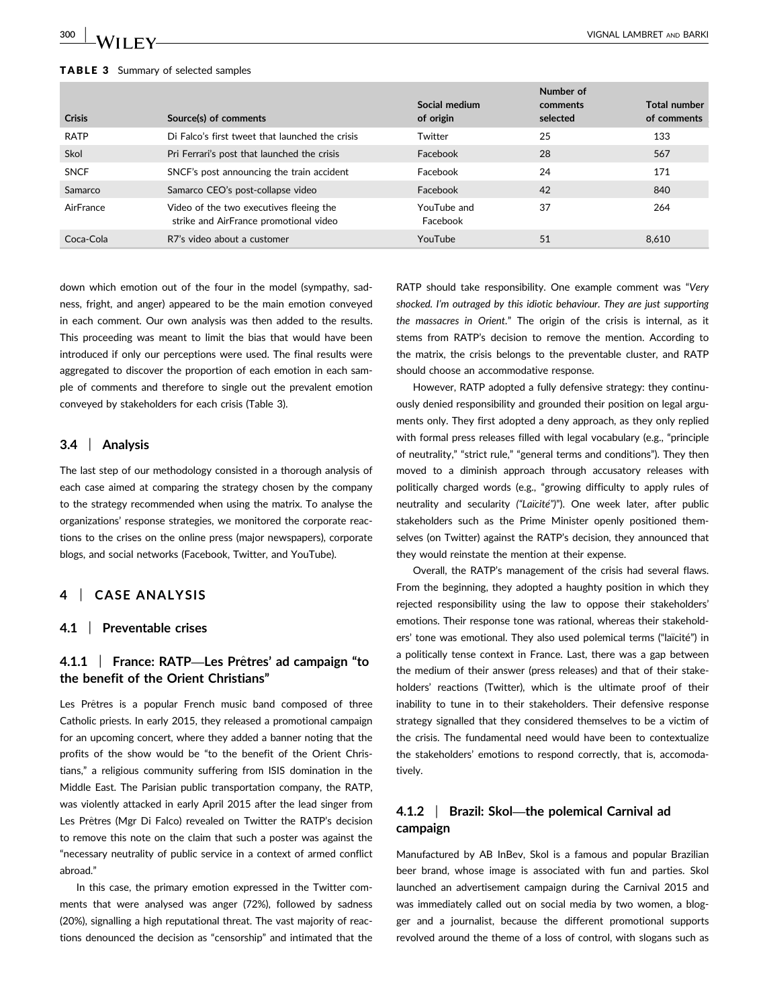#### TABLE 3 Summary of selected samples

| Crisis      | Source(s) of comments                                                             | Social medium<br>of origin | Number of<br>comments<br>selected | Total number<br>of comments |
|-------------|-----------------------------------------------------------------------------------|----------------------------|-----------------------------------|-----------------------------|
| <b>RATP</b> | Di Falco's first tweet that launched the crisis                                   | Twitter                    | 25                                | 133                         |
| Skol        | Pri Ferrari's post that launched the crisis                                       | Facebook                   | 28                                | 567                         |
| <b>SNCF</b> | SNCF's post announcing the train accident                                         | Facebook                   | 24                                | 171                         |
| Samarco     | Samarco CEO's post-collapse video                                                 | Facebook                   | 42                                | 840                         |
| AirFrance   | Video of the two executives fleeing the<br>strike and AirFrance promotional video | YouTube and<br>Facebook    | 37                                | 264                         |
| Coca-Cola   | R7's video about a customer                                                       | YouTube                    | 51                                | 8.610                       |

down which emotion out of the four in the model (sympathy, sadness, fright, and anger) appeared to be the main emotion conveyed in each comment. Our own analysis was then added to the results. This proceeding was meant to limit the bias that would have been introduced if only our perceptions were used. The final results were aggregated to discover the proportion of each emotion in each sample of comments and therefore to single out the prevalent emotion conveyed by stakeholders for each crisis (Table 3).

#### 3.4 | Analysis

The last step of our methodology consisted in a thorough analysis of each case aimed at comparing the strategy chosen by the company to the strategy recommended when using the matrix. To analyse the organizations' response strategies, we monitored the corporate reactions to the crises on the online press (major newspapers), corporate blogs, and social networks (Facebook, Twitter, and YouTube).

#### 4 | CASE ANALYSIS

#### 4.1 | Preventable crises

#### 4.1.1  $\parallel$  France: RATP—Les Prêtres' ad campaign "to the benefit of the Orient Christians"

Les Prêtres is a popular French music band composed of three Catholic priests. In early 2015, they released a promotional campaign for an upcoming concert, where they added a banner noting that the profits of the show would be "to the benefit of the Orient Christians," a religious community suffering from ISIS domination in the Middle East. The Parisian public transportation company, the RATP, was violently attacked in early April 2015 after the lead singer from Les Prêtres (Mgr Di Falco) revealed on Twitter the RATP's decision to remove this note on the claim that such a poster was against the "necessary neutrality of public service in a context of armed conflict abroad."

In this case, the primary emotion expressed in the Twitter comments that were analysed was anger (72%), followed by sadness (20%), signalling a high reputational threat. The vast majority of reactions denounced the decision as "censorship" and intimated that the RATP should take responsibility. One example comment was "Very shocked. I'm outraged by this idiotic behaviour. They are just supporting the massacres in Orient." The origin of the crisis is internal, as it stems from RATP's decision to remove the mention. According to the matrix, the crisis belongs to the preventable cluster, and RATP should choose an accommodative response.

However, RATP adopted a fully defensive strategy: they continuously denied responsibility and grounded their position on legal arguments only. They first adopted a deny approach, as they only replied with formal press releases filled with legal vocabulary (e.g., "principle of neutrality," "strict rule," "general terms and conditions"). They then moved to a diminish approach through accusatory releases with politically charged words (e.g., "growing difficulty to apply rules of neutrality and secularity ("Laïcité")"). One week later, after public stakeholders such as the Prime Minister openly positioned themselves (on Twitter) against the RATP's decision, they announced that they would reinstate the mention at their expense.

Overall, the RATP's management of the crisis had several flaws. From the beginning, they adopted a haughty position in which they rejected responsibility using the law to oppose their stakeholders' emotions. Their response tone was rational, whereas their stakeholders' tone was emotional. They also used polemical terms ("laïcité") in a politically tense context in France. Last, there was a gap between the medium of their answer (press releases) and that of their stakeholders' reactions (Twitter), which is the ultimate proof of their inability to tune in to their stakeholders. Their defensive response strategy signalled that they considered themselves to be a victim of the crisis. The fundamental need would have been to contextualize the stakeholders' emotions to respond correctly, that is, accomodatively.

#### 4.1.2 | Brazil: Skol—the polemical Carnival ad campaign

Manufactured by AB InBev, Skol is a famous and popular Brazilian beer brand, whose image is associated with fun and parties. Skol launched an advertisement campaign during the Carnival 2015 and was immediately called out on social media by two women, a blogger and a journalist, because the different promotional supports revolved around the theme of a loss of control, with slogans such as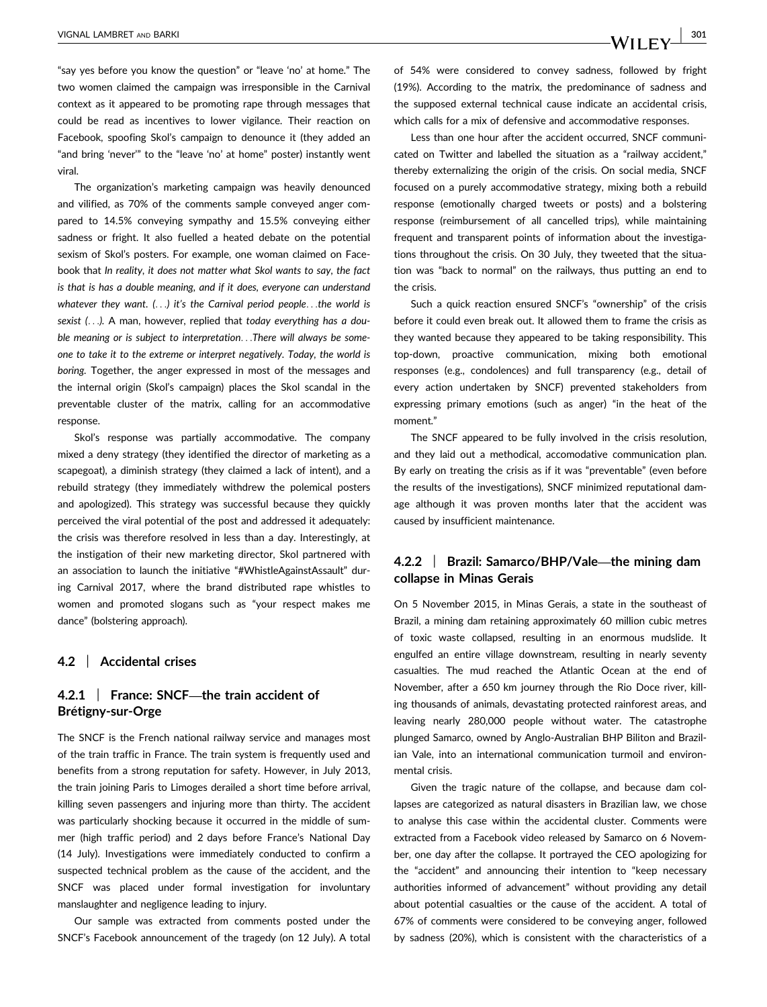"say yes before you know the question" or "leave 'no' at home." The two women claimed the campaign was irresponsible in the Carnival context as it appeared to be promoting rape through messages that could be read as incentives to lower vigilance. Their reaction on Facebook, spoofing Skol's campaign to denounce it (they added an "and bring 'never'" to the "leave 'no' at home" poster) instantly went viral.

The organization's marketing campaign was heavily denounced and vilified, as 70% of the comments sample conveyed anger compared to 14.5% conveying sympathy and 15.5% conveying either sadness or fright. It also fuelled a heated debate on the potential sexism of Skol's posters. For example, one woman claimed on Facebook that In reality, it does not matter what Skol wants to say, the fact is that is has a double meaning, and if it does, everyone can understand whatever they want. (...) it's the Carnival period people...the world is sexist (...). A man, however, replied that today everything has a double meaning or is subject to interpretation...There will always be someone to take it to the extreme or interpret negatively. Today, the world is boring. Together, the anger expressed in most of the messages and the internal origin (Skol's campaign) places the Skol scandal in the preventable cluster of the matrix, calling for an accommodative response.

Skol's response was partially accommodative. The company mixed a deny strategy (they identified the director of marketing as a scapegoat), a diminish strategy (they claimed a lack of intent), and a rebuild strategy (they immediately withdrew the polemical posters and apologized). This strategy was successful because they quickly perceived the viral potential of the post and addressed it adequately: the crisis was therefore resolved in less than a day. Interestingly, at the instigation of their new marketing director, Skol partnered with an association to launch the initiative "#WhistleAgainstAssault" during Carnival 2017, where the brand distributed rape whistles to women and promoted slogans such as "your respect makes me dance" (bolstering approach).

#### 4.2 | Accidental crises

#### 4.2.1 | France: SNCF—the train accident of Brétigny-sur-Orge

The SNCF is the French national railway service and manages most of the train traffic in France. The train system is frequently used and benefits from a strong reputation for safety. However, in July 2013, the train joining Paris to Limoges derailed a short time before arrival, killing seven passengers and injuring more than thirty. The accident was particularly shocking because it occurred in the middle of summer (high traffic period) and 2 days before France's National Day (14 July). Investigations were immediately conducted to confirm a suspected technical problem as the cause of the accident, and the SNCF was placed under formal investigation for involuntary manslaughter and negligence leading to injury.

Our sample was extracted from comments posted under the SNCF's Facebook announcement of the tragedy (on 12 July). A total of 54% were considered to convey sadness, followed by fright (19%). According to the matrix, the predominance of sadness and the supposed external technical cause indicate an accidental crisis, which calls for a mix of defensive and accommodative responses.

Less than one hour after the accident occurred, SNCF communicated on Twitter and labelled the situation as a "railway accident," thereby externalizing the origin of the crisis. On social media, SNCF focused on a purely accommodative strategy, mixing both a rebuild response (emotionally charged tweets or posts) and a bolstering response (reimbursement of all cancelled trips), while maintaining frequent and transparent points of information about the investigations throughout the crisis. On 30 July, they tweeted that the situation was "back to normal" on the railways, thus putting an end to the crisis.

Such a quick reaction ensured SNCF's "ownership" of the crisis before it could even break out. It allowed them to frame the crisis as they wanted because they appeared to be taking responsibility. This top-down, proactive communication, mixing both emotional responses (e.g., condolences) and full transparency (e.g., detail of every action undertaken by SNCF) prevented stakeholders from expressing primary emotions (such as anger) "in the heat of the moment<sup>"</sup>

The SNCF appeared to be fully involved in the crisis resolution, and they laid out a methodical, accomodative communication plan. By early on treating the crisis as if it was "preventable" (even before the results of the investigations), SNCF minimized reputational damage although it was proven months later that the accident was caused by insufficient maintenance.

#### 4.2.2 | Brazil: Samarco/BHP/Vale—the mining dam collapse in Minas Gerais

On 5 November 2015, in Minas Gerais, a state in the southeast of Brazil, a mining dam retaining approximately 60 million cubic metres of toxic waste collapsed, resulting in an enormous mudslide. It engulfed an entire village downstream, resulting in nearly seventy casualties. The mud reached the Atlantic Ocean at the end of November, after a 650 km journey through the Rio Doce river, killing thousands of animals, devastating protected rainforest areas, and leaving nearly 280,000 people without water. The catastrophe plunged Samarco, owned by Anglo-Australian BHP Biliton and Brazilian Vale, into an international communication turmoil and environmental crisis.

Given the tragic nature of the collapse, and because dam collapses are categorized as natural disasters in Brazilian law, we chose to analyse this case within the accidental cluster. Comments were extracted from a Facebook video released by Samarco on 6 November, one day after the collapse. It portrayed the CEO apologizing for the "accident" and announcing their intention to "keep necessary authorities informed of advancement" without providing any detail about potential casualties or the cause of the accident. A total of 67% of comments were considered to be conveying anger, followed by sadness (20%), which is consistent with the characteristics of a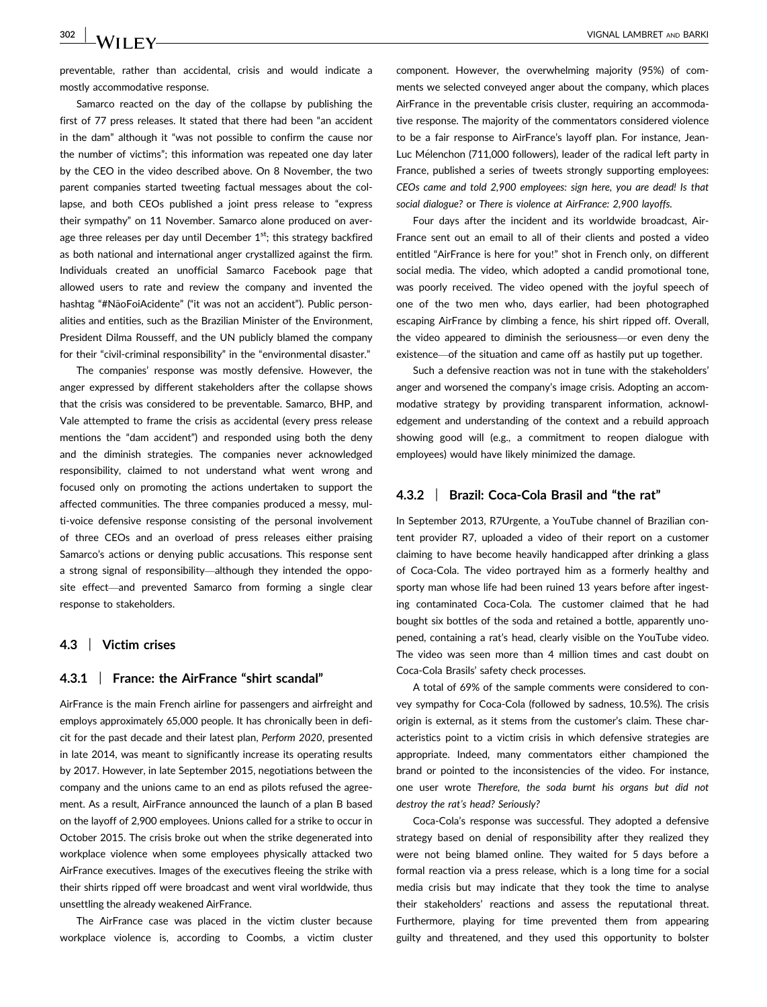preventable, rather than accidental, crisis and would indicate a mostly accommodative response.

Samarco reacted on the day of the collapse by publishing the first of 77 press releases. It stated that there had been "an accident in the dam" although it "was not possible to confirm the cause nor the number of victims"; this information was repeated one day later by the CEO in the video described above. On 8 November, the two parent companies started tweeting factual messages about the collapse, and both CEOs published a joint press release to "express their sympathy" on 11 November. Samarco alone produced on average three releases per day until December  $1<sup>st</sup>$ ; this strategy backfired as both national and international anger crystallized against the firm. Individuals created an unofficial Samarco Facebook page that allowed users to rate and review the company and invented the hashtag "#NãoFoiAcidente" ("it was not an accident"). Public personalities and entities, such as the Brazilian Minister of the Environment, President Dilma Rousseff, and the UN publicly blamed the company for their "civil-criminal responsibility" in the "environmental disaster."

The companies' response was mostly defensive. However, the anger expressed by different stakeholders after the collapse shows that the crisis was considered to be preventable. Samarco, BHP, and Vale attempted to frame the crisis as accidental (every press release mentions the "dam accident") and responded using both the deny and the diminish strategies. The companies never acknowledged responsibility, claimed to not understand what went wrong and focused only on promoting the actions undertaken to support the affected communities. The three companies produced a messy, multi-voice defensive response consisting of the personal involvement of three CEOs and an overload of press releases either praising Samarco's actions or denying public accusations. This response sent a strong signal of responsibility—although they intended the opposite effect—and prevented Samarco from forming a single clear response to stakeholders.

#### 4.3 | Victim crises

#### 4.3.1 | France: the AirFrance "shirt scandal"

AirFrance is the main French airline for passengers and airfreight and employs approximately 65,000 people. It has chronically been in deficit for the past decade and their latest plan, Perform 2020, presented in late 2014, was meant to significantly increase its operating results by 2017. However, in late September 2015, negotiations between the company and the unions came to an end as pilots refused the agreement. As a result, AirFrance announced the launch of a plan B based on the layoff of 2,900 employees. Unions called for a strike to occur in October 2015. The crisis broke out when the strike degenerated into workplace violence when some employees physically attacked two AirFrance executives. Images of the executives fleeing the strike with their shirts ripped off were broadcast and went viral worldwide, thus unsettling the already weakened AirFrance.

The AirFrance case was placed in the victim cluster because workplace violence is, according to Coombs, a victim cluster component. However, the overwhelming majority (95%) of comments we selected conveyed anger about the company, which places AirFrance in the preventable crisis cluster, requiring an accommodative response. The majority of the commentators considered violence to be a fair response to AirFrance's layoff plan. For instance, Jean-Luc Mélenchon (711,000 followers), leader of the radical left party in France, published a series of tweets strongly supporting employees: CEOs came and told 2,900 employees: sign here, you are dead! Is that social dialogue? or There is violence at AirFrance: 2,900 layoffs.

Four days after the incident and its worldwide broadcast, Air-France sent out an email to all of their clients and posted a video entitled "AirFrance is here for you!" shot in French only, on different social media. The video, which adopted a candid promotional tone, was poorly received. The video opened with the joyful speech of one of the two men who, days earlier, had been photographed escaping AirFrance by climbing a fence, his shirt ripped off. Overall, the video appeared to diminish the seriousness—or even deny the existence—of the situation and came off as hastily put up together.

Such a defensive reaction was not in tune with the stakeholders' anger and worsened the company's image crisis. Adopting an accommodative strategy by providing transparent information, acknowledgement and understanding of the context and a rebuild approach showing good will (e.g., a commitment to reopen dialogue with employees) would have likely minimized the damage.

#### 4.3.2 | Brazil: Coca-Cola Brasil and "the rat"

In September 2013, R7Urgente, a YouTube channel of Brazilian content provider R7, uploaded a video of their report on a customer claiming to have become heavily handicapped after drinking a glass of Coca-Cola. The video portrayed him as a formerly healthy and sporty man whose life had been ruined 13 years before after ingesting contaminated Coca-Cola. The customer claimed that he had bought six bottles of the soda and retained a bottle, apparently unopened, containing a rat's head, clearly visible on the YouTube video. The video was seen more than 4 million times and cast doubt on Coca-Cola Brasils' safety check processes.

A total of 69% of the sample comments were considered to convey sympathy for Coca-Cola (followed by sadness, 10.5%). The crisis origin is external, as it stems from the customer's claim. These characteristics point to a victim crisis in which defensive strategies are appropriate. Indeed, many commentators either championed the brand or pointed to the inconsistencies of the video. For instance, one user wrote Therefore, the soda burnt his organs but did not destroy the rat's head? Seriously?

Coca-Cola's response was successful. They adopted a defensive strategy based on denial of responsibility after they realized they were not being blamed online. They waited for 5 days before a formal reaction via a press release, which is a long time for a social media crisis but may indicate that they took the time to analyse their stakeholders' reactions and assess the reputational threat. Furthermore, playing for time prevented them from appearing guilty and threatened, and they used this opportunity to bolster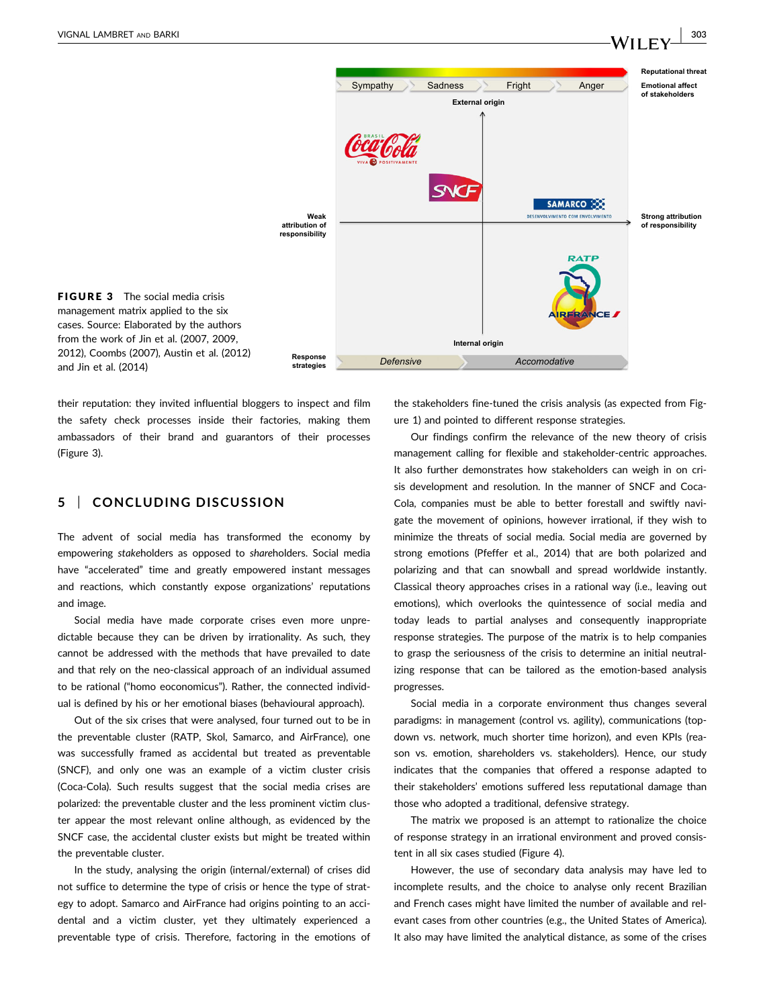

FIGURE 3 The social media crisis management matrix applied to the six cases. Source: Elaborated by the authors from the work of Jin et al. (2007, 2009, 2012), Coombs (2007), Austin et al. (2012) and Jin et al. (2014)

their reputation: they invited influential bloggers to inspect and film the safety check processes inside their factories, making them ambassadors of their brand and guarantors of their processes (Figure 3).

#### 5 | CONCLUDING DISCUSSION

The advent of social media has transformed the economy by empowering stakeholders as opposed to shareholders. Social media have "accelerated" time and greatly empowered instant messages and reactions, which constantly expose organizations' reputations and image.

Social media have made corporate crises even more unpredictable because they can be driven by irrationality. As such, they cannot be addressed with the methods that have prevailed to date and that rely on the neo-classical approach of an individual assumed to be rational ("homo eoconomicus"). Rather, the connected individual is defined by his or her emotional biases (behavioural approach).

Out of the six crises that were analysed, four turned out to be in the preventable cluster (RATP, Skol, Samarco, and AirFrance), one was successfully framed as accidental but treated as preventable (SNCF), and only one was an example of a victim cluster crisis (Coca-Cola). Such results suggest that the social media crises are polarized: the preventable cluster and the less prominent victim cluster appear the most relevant online although, as evidenced by the SNCF case, the accidental cluster exists but might be treated within the preventable cluster.

In the study, analysing the origin (internal/external) of crises did not suffice to determine the type of crisis or hence the type of strategy to adopt. Samarco and AirFrance had origins pointing to an accidental and a victim cluster, yet they ultimately experienced a preventable type of crisis. Therefore, factoring in the emotions of the stakeholders fine-tuned the crisis analysis (as expected from Figure 1) and pointed to different response strategies.

Our findings confirm the relevance of the new theory of crisis management calling for flexible and stakeholder-centric approaches. It also further demonstrates how stakeholders can weigh in on crisis development and resolution. In the manner of SNCF and Coca-Cola, companies must be able to better forestall and swiftly navigate the movement of opinions, however irrational, if they wish to minimize the threats of social media. Social media are governed by strong emotions (Pfeffer et al., 2014) that are both polarized and polarizing and that can snowball and spread worldwide instantly. Classical theory approaches crises in a rational way (i.e., leaving out emotions), which overlooks the quintessence of social media and today leads to partial analyses and consequently inappropriate response strategies. The purpose of the matrix is to help companies to grasp the seriousness of the crisis to determine an initial neutralizing response that can be tailored as the emotion-based analysis progresses.

Social media in a corporate environment thus changes several paradigms: in management (control vs. agility), communications (topdown vs. network, much shorter time horizon), and even KPIs (reason vs. emotion, shareholders vs. stakeholders). Hence, our study indicates that the companies that offered a response adapted to their stakeholders' emotions suffered less reputational damage than those who adopted a traditional, defensive strategy.

The matrix we proposed is an attempt to rationalize the choice of response strategy in an irrational environment and proved consistent in all six cases studied (Figure 4).

However, the use of secondary data analysis may have led to incomplete results, and the choice to analyse only recent Brazilian and French cases might have limited the number of available and relevant cases from other countries (e.g., the United States of America). It also may have limited the analytical distance, as some of the crises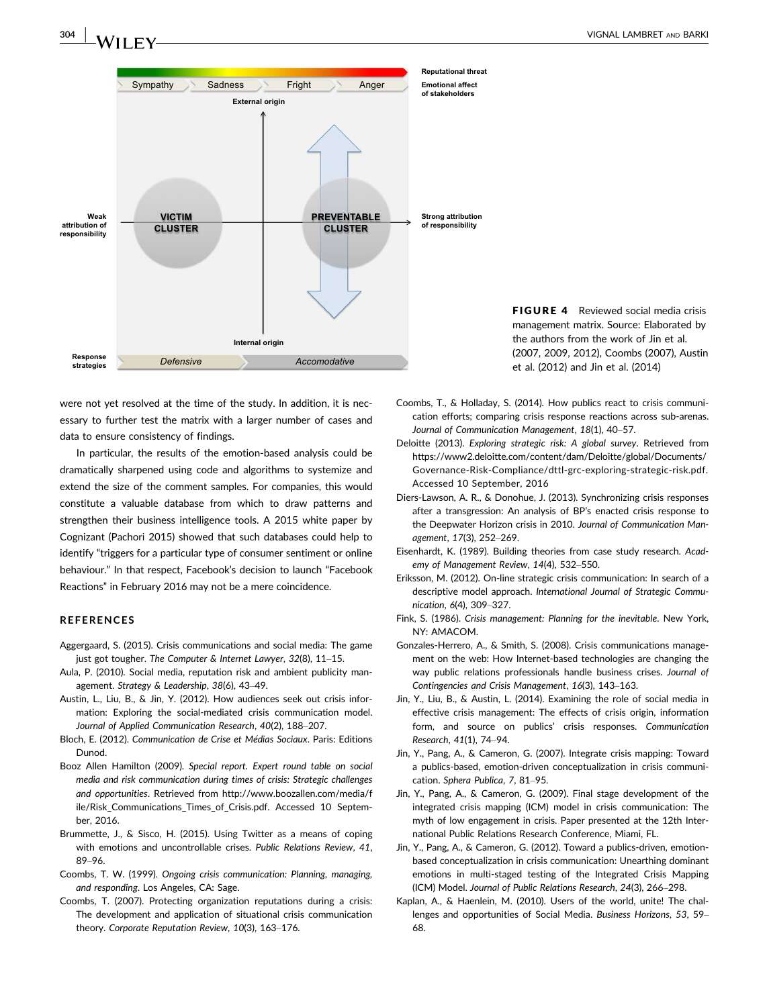

FIGURE 4 Reviewed social media crisis management matrix. Source: Elaborated by the authors from the work of Jin et al. (2007, 2009, 2012), Coombs (2007), Austin et al. (2012) and Jin et al. (2014)

were not yet resolved at the time of the study. In addition, it is necessary to further test the matrix with a larger number of cases and data to ensure consistency of findings.

In particular, the results of the emotion-based analysis could be dramatically sharpened using code and algorithms to systemize and extend the size of the comment samples. For companies, this would constitute a valuable database from which to draw patterns and strengthen their business intelligence tools. A 2015 white paper by Cognizant (Pachori 2015) showed that such databases could help to identify "triggers for a particular type of consumer sentiment or online behaviour." In that respect, Facebook's decision to launch "Facebook Reactions" in February 2016 may not be a mere coincidence.

#### REFERENCES

- Aggergaard, S. (2015). Crisis communications and social media: The game just got tougher. The Computer & Internet Lawyer, 32(8), 11–15.
- Aula, P. (2010). Social media, reputation risk and ambient publicity management. Strategy & Leadership, 38(6), 43–49.
- Austin, L., Liu, B., & Jin, Y. (2012). How audiences seek out crisis information: Exploring the social-mediated crisis communication model. Journal of Applied Communication Research, 40(2), 188–207.
- Bloch, E. (2012). Communication de Crise et Médias Sociaux. Paris: Editions Dunod.
- Booz Allen Hamilton (2009). Special report. Expert round table on social media and risk communication during times of crisis: Strategic challenges and opportunities. Retrieved from [http://www.boozallen.com/media/f](http://www.boozallen.com/media/file/Risk_Communications_Times_of_Crisis.pdf) [ile/Risk\\_Communications\\_Times\\_of\\_Crisis.pdf.](http://www.boozallen.com/media/file/Risk_Communications_Times_of_Crisis.pdf) Accessed 10 September, 2016.
- Brummette, J., & Sisco, H. (2015). Using Twitter as a means of coping with emotions and uncontrollable crises. Public Relations Review, 41, 89–96.
- Coombs, T. W. (1999). Ongoing crisis communication: Planning, managing, and responding. Los Angeles, CA: Sage.
- Coombs, T. (2007). Protecting organization reputations during a crisis: The development and application of situational crisis communication theory. Corporate Reputation Review, 10(3), 163–176.
- Coombs, T., & Holladay, S. (2014). How publics react to crisis communication efforts; comparing crisis response reactions across sub-arenas. Journal of Communication Management, 18(1), 40–57.
- Deloitte (2013). Exploring strategic risk: A global survey. Retrieved from [https://www2.deloitte.com/content/dam/Deloitte/global/Documents/](https://www2.deloitte.com/content/dam/Deloitte/global/Documents/Governance-Risk-Compliance/dttl-grc-exploring-strategic-risk.pdf) [Governance-Risk-Compliance/dttl-grc-exploring-strategic-risk.pdf](https://www2.deloitte.com/content/dam/Deloitte/global/Documents/Governance-Risk-Compliance/dttl-grc-exploring-strategic-risk.pdf). Accessed 10 September, 2016
- Diers-Lawson, A. R., & Donohue, J. (2013). Synchronizing crisis responses after a transgression: An analysis of BP's enacted crisis response to the Deepwater Horizon crisis in 2010. Journal of Communication Management, 17(3), 252–269.
- Eisenhardt, K. (1989). Building theories from case study research. Academy of Management Review, 14(4), 532–550.
- Eriksson, M. (2012). On-line strategic crisis communication: In search of a descriptive model approach. International Journal of Strategic Communication, 6(4), 309–327.
- Fink, S. (1986). Crisis management: Planning for the inevitable. New York, NY: AMACOM.
- Gonzales-Herrero, A., & Smith, S. (2008). Crisis communications management on the web: How Internet-based technologies are changing the way public relations professionals handle business crises. Journal of Contingencies and Crisis Management, 16(3), 143–163.
- Jin, Y., Liu, B., & Austin, L. (2014). Examining the role of social media in effective crisis management: The effects of crisis origin, information form, and source on publics' crisis responses. Communication Research, 41(1), 74–94.
- Jin, Y., Pang, A., & Cameron, G. (2007). Integrate crisis mapping: Toward a publics-based, emotion-driven conceptualization in crisis communication. Sphera Publica, 7, 81–95.
- Jin, Y., Pang, A., & Cameron, G. (2009). Final stage development of the integrated crisis mapping (ICM) model in crisis communication: The myth of low engagement in crisis. Paper presented at the 12th International Public Relations Research Conference, Miami, FL.
- Jin, Y., Pang, A., & Cameron, G. (2012). Toward a publics-driven, emotionbased conceptualization in crisis communication: Unearthing dominant emotions in multi-staged testing of the Integrated Crisis Mapping (ICM) Model. Journal of Public Relations Research, 24(3), 266–298.
- Kaplan, A., & Haenlein, M. (2010). Users of the world, unite! The challenges and opportunities of Social Media. Business Horizons, 53, 59– 68.